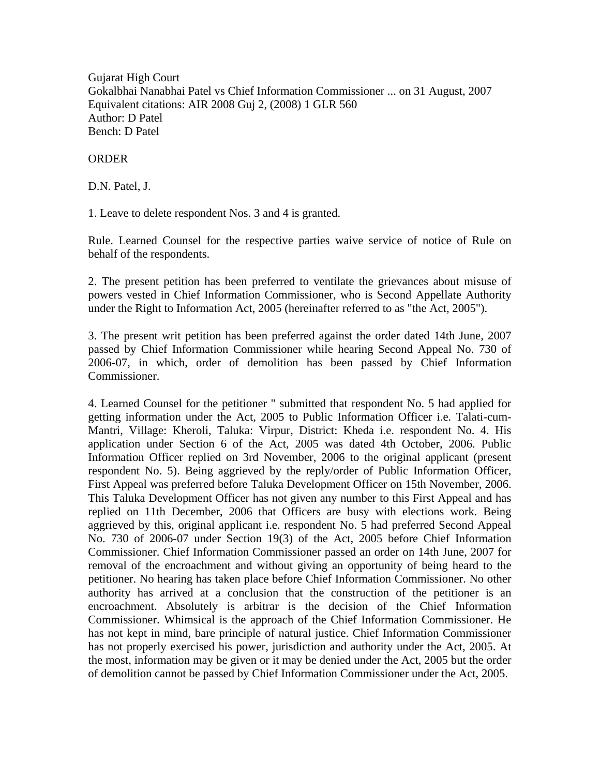Gujarat High Court Gokalbhai Nanabhai Patel vs Chief Information Commissioner ... on 31 August, 2007 Equivalent citations: AIR 2008 Guj 2, (2008) 1 GLR 560 Author: D Patel Bench: D Patel

## ORDER

D.N. Patel, J.

1. Leave to delete respondent Nos. 3 and 4 is granted.

Rule. Learned Counsel for the respective parties waive service of notice of Rule on behalf of the respondents.

2. The present petition has been preferred to ventilate the grievances about misuse of powers vested in Chief Information Commissioner, who is Second Appellate Authority under the Right to Information Act, 2005 (hereinafter referred to as "the Act, 2005").

3. The present writ petition has been preferred against the order dated 14th June, 2007 passed by Chief Information Commissioner while hearing Second Appeal No. 730 of 2006-07, in which, order of demolition has been passed by Chief Information Commissioner.

4. Learned Counsel for the petitioner " submitted that respondent No. 5 had applied for getting information under the Act, 2005 to Public Information Officer i.e. Talati-cum-Mantri, Village: Kheroli, Taluka: Virpur, District: Kheda i.e. respondent No. 4. His application under Section 6 of the Act, 2005 was dated 4th October, 2006. Public Information Officer replied on 3rd November, 2006 to the original applicant (present respondent No. 5). Being aggrieved by the reply/order of Public Information Officer, First Appeal was preferred before Taluka Development Officer on 15th November, 2006. This Taluka Development Officer has not given any number to this First Appeal and has replied on 11th December, 2006 that Officers are busy with elections work. Being aggrieved by this, original applicant i.e. respondent No. 5 had preferred Second Appeal No. 730 of 2006-07 under Section 19(3) of the Act, 2005 before Chief Information Commissioner. Chief Information Commissioner passed an order on 14th June, 2007 for removal of the encroachment and without giving an opportunity of being heard to the petitioner. No hearing has taken place before Chief Information Commissioner. No other authority has arrived at a conclusion that the construction of the petitioner is an encroachment. Absolutely is arbitrar is the decision of the Chief Information Commissioner. Whimsical is the approach of the Chief Information Commissioner. He has not kept in mind, bare principle of natural justice. Chief Information Commissioner has not properly exercised his power, jurisdiction and authority under the Act, 2005. At the most, information may be given or it may be denied under the Act, 2005 but the order of demolition cannot be passed by Chief Information Commissioner under the Act, 2005.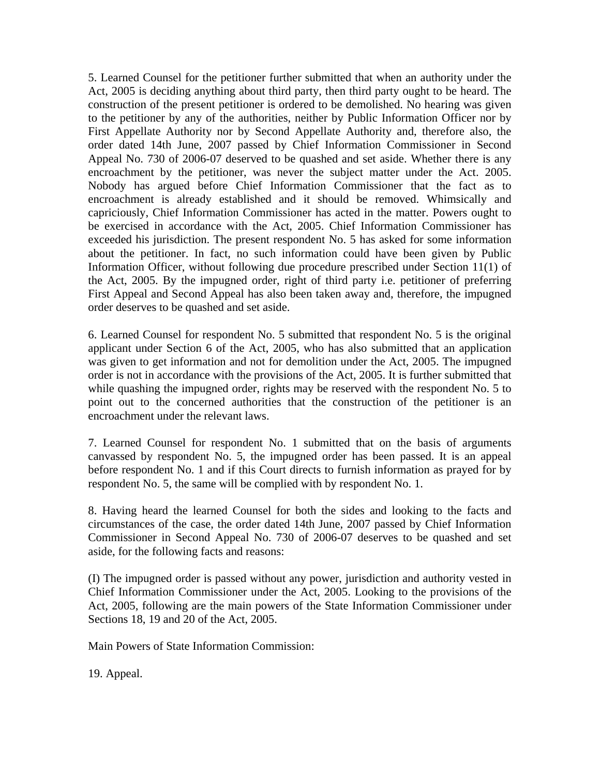5. Learned Counsel for the petitioner further submitted that when an authority under the Act, 2005 is deciding anything about third party, then third party ought to be heard. The construction of the present petitioner is ordered to be demolished. No hearing was given to the petitioner by any of the authorities, neither by Public Information Officer nor by First Appellate Authority nor by Second Appellate Authority and, therefore also, the order dated 14th June, 2007 passed by Chief Information Commissioner in Second Appeal No. 730 of 2006-07 deserved to be quashed and set aside. Whether there is any encroachment by the petitioner, was never the subject matter under the Act. 2005. Nobody has argued before Chief Information Commissioner that the fact as to encroachment is already established and it should be removed. Whimsically and capriciously, Chief Information Commissioner has acted in the matter. Powers ought to be exercised in accordance with the Act, 2005. Chief Information Commissioner has exceeded his jurisdiction. The present respondent No. 5 has asked for some information about the petitioner. In fact, no such information could have been given by Public Information Officer, without following due procedure prescribed under Section 11(1) of the Act, 2005. By the impugned order, right of third party i.e. petitioner of preferring First Appeal and Second Appeal has also been taken away and, therefore, the impugned order deserves to be quashed and set aside.

6. Learned Counsel for respondent No. 5 submitted that respondent No. 5 is the original applicant under Section 6 of the Act, 2005, who has also submitted that an application was given to get information and not for demolition under the Act, 2005. The impugned order is not in accordance with the provisions of the Act, 2005. It is further submitted that while quashing the impugned order, rights may be reserved with the respondent No. 5 to point out to the concerned authorities that the construction of the petitioner is an encroachment under the relevant laws.

7. Learned Counsel for respondent No. 1 submitted that on the basis of arguments canvassed by respondent No. 5, the impugned order has been passed. It is an appeal before respondent No. 1 and if this Court directs to furnish information as prayed for by respondent No. 5, the same will be complied with by respondent No. 1.

8. Having heard the learned Counsel for both the sides and looking to the facts and circumstances of the case, the order dated 14th June, 2007 passed by Chief Information Commissioner in Second Appeal No. 730 of 2006-07 deserves to be quashed and set aside, for the following facts and reasons:

(I) The impugned order is passed without any power, jurisdiction and authority vested in Chief Information Commissioner under the Act, 2005. Looking to the provisions of the Act, 2005, following are the main powers of the State Information Commissioner under Sections 18, 19 and 20 of the Act, 2005.

Main Powers of State Information Commission:

19. Appeal.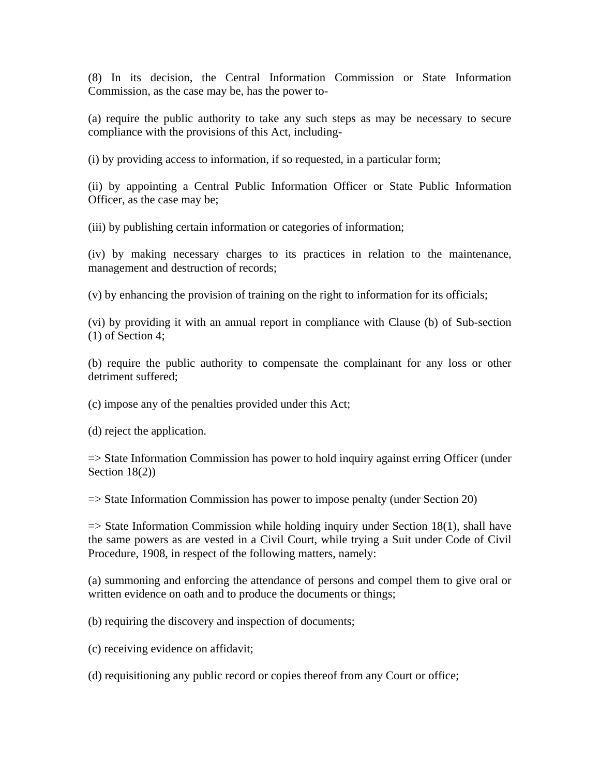(8) In its decision, the Central Information Commission or State Information Commission, as the case may be, has the power to-

(a) require the public authority to take any such steps as may be necessary to secure compliance with the provisions of this Act, including-

(i) by providing access to information, if so requested, in a particular form;

(ii) by appointing a Central Public Information Officer or State Public Information Officer, as the case may be;

(iii) by publishing certain information or categories of information;

(iv) by making necessary charges to its practices in relation to the maintenance, management and destruction of records;

(v) by enhancing the provision of training on the right to information for its officials;

(vi) by providing it with an annual report in compliance with Clause (b) of Sub-section (1) of Section 4;

(b) require the public authority to compensate the complainant for any loss or other detriment suffered;

(c) impose any of the penalties provided under this Act;

(d) reject the application.

=> State Information Commission has power to hold inquiry against erring Officer (under Section 18(2))

=> State Information Commission has power to impose penalty (under Section 20)

 $\Rightarrow$  State Information Commission while holding inquiry under Section 18(1), shall have the same powers as are vested in a Civil Court, while trying a Suit under Code of Civil Procedure, 1908, in respect of the following matters, namely:

(a) summoning and enforcing the attendance of persons and compel them to give oral or written evidence on oath and to produce the documents or things;

(b) requiring the discovery and inspection of documents;

(c) receiving evidence on affidavit;

(d) requisitioning any public record or copies thereof from any Court or office;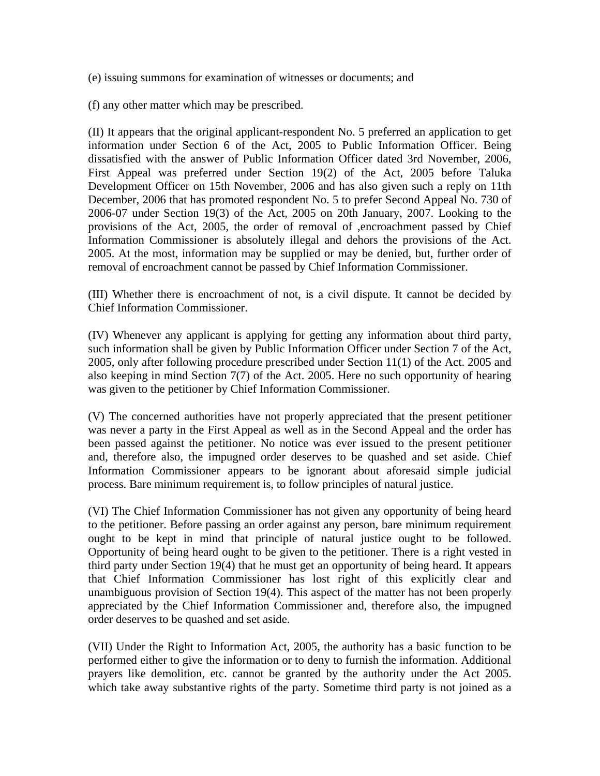(e) issuing summons for examination of witnesses or documents; and

(f) any other matter which may be prescribed.

(II) It appears that the original applicant-respondent No. 5 preferred an application to get information under Section 6 of the Act, 2005 to Public Information Officer. Being dissatisfied with the answer of Public Information Officer dated 3rd November, 2006, First Appeal was preferred under Section 19(2) of the Act, 2005 before Taluka Development Officer on 15th November, 2006 and has also given such a reply on 11th December, 2006 that has promoted respondent No. 5 to prefer Second Appeal No. 730 of 2006-07 under Section 19(3) of the Act, 2005 on 20th January, 2007. Looking to the provisions of the Act, 2005, the order of removal of ,encroachment passed by Chief Information Commissioner is absolutely illegal and dehors the provisions of the Act. 2005. At the most, information may be supplied or may be denied, but, further order of removal of encroachment cannot be passed by Chief Information Commissioner.

(III) Whether there is encroachment of not, is a civil dispute. It cannot be decided by Chief Information Commissioner.

(IV) Whenever any applicant is applying for getting any information about third party, such information shall be given by Public Information Officer under Section 7 of the Act, 2005, only after following procedure prescribed under Section 11(1) of the Act. 2005 and also keeping in mind Section 7(7) of the Act. 2005. Here no such opportunity of hearing was given to the petitioner by Chief Information Commissioner.

(V) The concerned authorities have not properly appreciated that the present petitioner was never a party in the First Appeal as well as in the Second Appeal and the order has been passed against the petitioner. No notice was ever issued to the present petitioner and, therefore also, the impugned order deserves to be quashed and set aside. Chief Information Commissioner appears to be ignorant about aforesaid simple judicial process. Bare minimum requirement is, to follow principles of natural justice.

(VI) The Chief Information Commissioner has not given any opportunity of being heard to the petitioner. Before passing an order against any person, bare minimum requirement ought to be kept in mind that principle of natural justice ought to be followed. Opportunity of being heard ought to be given to the petitioner. There is a right vested in third party under Section 19(4) that he must get an opportunity of being heard. It appears that Chief Information Commissioner has lost right of this explicitly clear and unambiguous provision of Section 19(4). This aspect of the matter has not been properly appreciated by the Chief Information Commissioner and, therefore also, the impugned order deserves to be quashed and set aside.

(VII) Under the Right to Information Act, 2005, the authority has a basic function to be performed either to give the information or to deny to furnish the information. Additional prayers like demolition, etc. cannot be granted by the authority under the Act 2005. which take away substantive rights of the party. Sometime third party is not joined as a